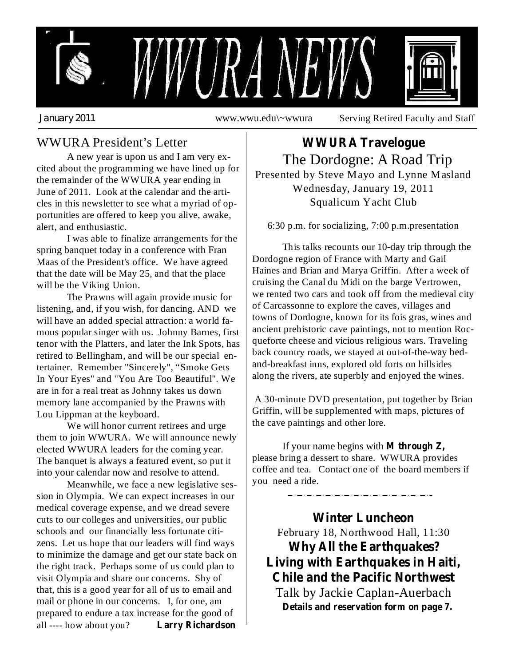

## WWURA President's Letter

A new year is upon us and I am very excited about the programming we have lined up for the remainder of the WWURA year ending in June of 2011. Look at the calendar and the articles in this newsletter to see what a myriad of opportunities are offered to keep you alive, awake, alert, and enthusiastic.

I was able to finalize arrangements for the spring banquet today in a conference with Fran Maas of the President's office. We have agreed that the date will be May 25, and that the place will be the Viking Union.

The Prawns will again provide music for listening, and, if you wish, for dancing. AND we will have an added special attraction: a world famous popular singer with us. Johnny Barnes, first tenor with the Platters, and later the Ink Spots, has retired to Bellingham, and will be our special entertainer. Remember "Sincerely", "Smoke Gets In Your Eyes" and "You Are Too Beautiful". We are in for a real treat as Johnny takes us down memory lane accompanied by the Prawns with Lou Lippman at the keyboard.

We will honor current retirees and urge them to join WWURA. We will announce newly elected WWURA leaders for the coming year. The banquet is always a featured event, so put it into your calendar now and resolve to attend.

Meanwhile, we face a new legislative session in Olympia. We can expect increases in our medical coverage expense, and we dread severe cuts to our colleges and universities, our public schools and our financially less fortunate citizens. Let us hope that our leaders will find ways to minimize the damage and get our state back on the right track. Perhaps some of us could plan to visit Olympia and share our concerns. Shy of that, this is a good year for all of us to email and mail or phone in our concerns. I, for one, am prepared to endure a tax increase for the good of all ---- how about you? **Larry Richardson**

The Dordogne: A Road Trip Presented by Steve Mayo and Lynne Masland Wednesday, January 19, 2011 Squalicum Yacht Club **WWURA Travelogue**

6:30 p.m. for socializing, 7:00 p.m.presentation

This talks recounts our 10-day trip through the Dordogne region of France with Marty and Gail Haines and Brian and Marya Griffin. After a week of cruising the Canal du Midi on the barge Vertrowen, we rented two cars and took off from the medieval city of Carcassonne to explore the caves, villages and towns of Dordogne, known for its fois gras, wines and ancient prehistoric cave paintings, not to mention Rocqueforte cheese and vicious religious wars. Traveling back country roads, we stayed at out-of-the-way bedand-breakfast inns, explored old forts on hillsides along the rivers, ate superbly and enjoyed the wines.

A 30-minute DVD presentation, put together by Brian Griffin, will be supplemented with maps, pictures of the cave paintings and other lore.

If your name begins with **M through Z,** please bring a dessert to share. WWURA provides coffee and tea. Contact one of the board members if you need a ride.

February 18, Northwood Hall, 11:30 Talk by Jackie Caplan-Auerbach **Winter Luncheon Why All the Earthquakes? Living with Earthquakes in Haiti, Chile and the Pacific Northwest Details and reservation form on page 7.**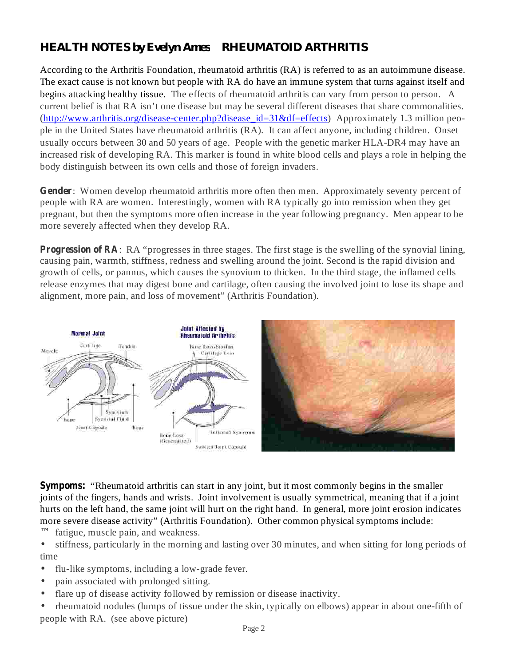## *HEALTH NOTES by Evelyn Ames RHEUMATOID ARTHRITIS*

According to the Arthritis Foundation, rheumatoid arthritis (RA) is referred to as an autoimmune disease. The exact cause is not known but people with RA do have an immune system that turns against itself and begins attacking healthy tissue. The effects of rheumatoid arthritis can vary from person to person. A current belief is that RA isn't one disease but may be several different diseases that share commonalities. (http://www.arthritis.org/disease-center.php?disease\_id=31&df=effects) Approximately 1.3 million people in the United States have rheumatoid arthritis (RA). It can affect anyone, including children. Onset usually occurs between 30 and 50 years of age. People with the genetic marker HLA-DR4 may have an increased risk of developing RA. This marker is found in white blood cells and plays a role in helping the body distinguish between its own cells and those of foreign invaders.

Gender: Women develop rheumatoid arthritis more often then men. Approximately seventy percent of people with RA are women. Interestingly, women with RA typically go into remission when they get pregnant, but then the symptoms more often increase in the year following pregnancy. Men appear to be more severely affected when they develop RA.

**Progression of RA**: RA "progresses in three stages. The first stage is the swelling of the synovial lining, causing pain, warmth, stiffness, redness and swelling around the joint. Second is the rapid division and growth of cells, or pannus, which causes the synovium to thicken. In the third stage, the inflamed cells release enzymes that may digest bone and cartilage, often causing the involved joint to lose its shape and alignment, more pain, and loss of movement" (Arthritis Foundation).



**Sympoms:** "Rheumatoid arthritis can start in any joint, but it most commonly begins in the smaller joints of the fingers, hands and wrists. Joint involvement is usually symmetrical, meaning that if a joint hurts on the left hand, the same joint will hurt on the right hand. In general, more joint erosion indicates more severe disease activity" (Arthritis Foundation). Other common physical symptoms include:

fatigue, muscle pain, and weakness. ª

stiffness, particularly in the morning and lasting over 30 minutes, and when sitting for long periods of time •

- flu-like symptoms, including a low-grade fever. •
- pain associated with prolonged sitting. •
- flare up of disease activity followed by remission or disease inactivity. •
- rheumatoid nodules (lumps of tissue under the skin, typically on elbows) appear in about one-fifth of people with RA. (see above picture) •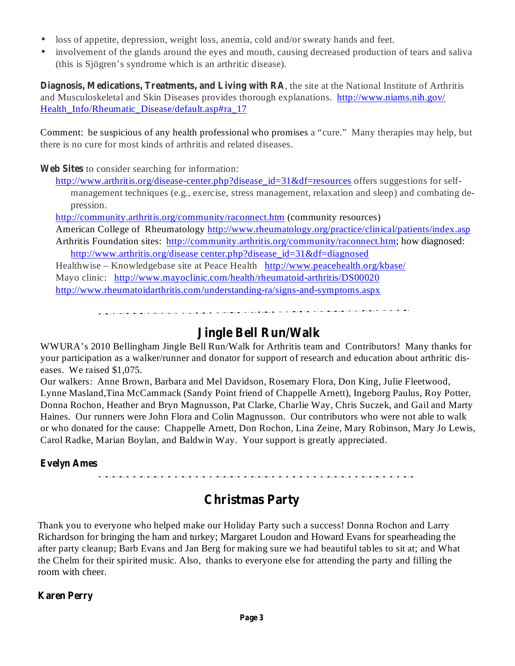- loss of appetite, depression, weight loss, anemia, cold and/or sweaty hands and feet.
- $\bullet$ involvement of the glands around the eyes and mouth, causing decreased production of tears and saliva (this is Sjögren's syndrome which is an arthritic disease).

Diagnosis, Medications, Treatments, and Living with RA, the site at the National Institute of Arthritis and Musculoskeletal and Skin Diseases provides thorough explanations. http://www.niams.nih.gov/ Health Info/Rheumatic Disease/default.asp#ra 17

Comment: be suspicious of any health professional who promises a "cure." Many therapies may help, but there is no cure for most kinds of arthritis and related diseases.

Web Sites to consider searching for information:

http://www.arthritis.org/disease-center.php?disease\_id=31&df=resources offers suggestions for selfmanagement techniques (e.g., exercise, stress management, relaxation and sleep) and combating depression.

http://community.arthritis.org/community/raconnect.htm (community resources)

American College of Rheumatology http://www.rheumatology.org/practice/clinical/patients/index.asp Arthritis Foundation sites: http://community.arthritis.org/community/raconnect.htm; how diagnosed:

http://www.arthritis.org/disease center.php?disease\_id=31&df=diagnosed

Healthwise – Knowledgebase site at Peace Health http://www.peacehealth.org/kbase/ Mayo clinic: http://www.mayoclinic.com/health/rheumatoid-arthritis/DS00020 http://www.rheumatoidarthritis.com/understanding-ra/signs-and-symptoms.aspx

alalisialaisin ja tulevan muutana muunnin kunnan kunnanna muunnin kunnannan kunnannan kunnan kunnan kunnan kun

## **Jingle Bell Run/Walk**

WWURA's 2010 Bellingham Jingle Bell Run/Walk for Arthritis team and Contributors! Many thanks for your participation as a walker/runner and donator for support of research and education about arthritic diseases. We raised \$1,075.

Our walkers: Anne Brown, Barbara and Mel Davidson, Rosemary Flora, Don King, Julie Fleetwood, Lynne Masland,Tina McCammack (Sandy Point friend of Chappelle Arnett), Ingeborg Paulus, Roy Potter, Donna Rochon, Heather and Bryn Magnusson, Pat Clarke, Charlie Way, Chris Suczek, and Gail and Marty Haines. Our runners were John Flora and Colin Magnusson. Our contributors who were not able to walk or who donated for the cause: Chappelle Arnett, Don Rochon, Lina Zeine, Mary Robinson, Mary Jo Lewis, Carol Radke, Marian Boylan, and Baldwin Way. Your support is greatly appreciated.

### **Evelyn Ames**

## **Christmas Party**

Thank you to everyone who helped make our Holiday Party such a success! Donna Rochon and Larry Richardson for bringing the ham and turkey; Margaret Loudon and Howard Evans for spearheading the after party cleanup; Barb Evans and Jan Berg for making sure we had beautiful tables to sit at; and What the Chelm for their spirited music. Also, thanks to everyone else for attending the party and filling the room with cheer.

### **Karen Perry**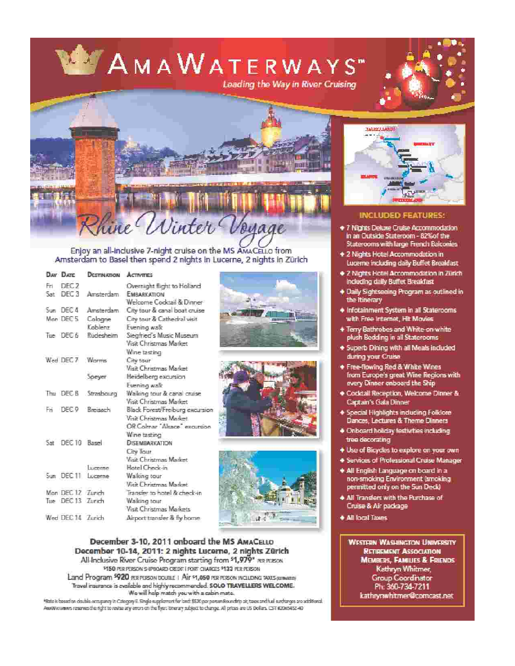# AMAWATERWAYS" Leading the Way in River Cruising





Enjoy an all-inclusive 7-night cruise on the MS AMACELLO from Amsterdam to Basel then spend 2 nights in Lucerne, 2 nights in Zürich

|     | Day Days          | <b>DESTINATION ACTIVITIES</b> |                                 |  |
|-----|-------------------|-------------------------------|---------------------------------|--|
| Fri | DFC <sub>2</sub>  |                               | Overnight flight to Holland     |  |
|     | Sat DEC 3         | Amsterdam.                    | <b>EMBARKATION</b>              |  |
|     |                   |                               | Welcome Cocktail & Dinner       |  |
|     | Sun DEC:4         | Arraterdam                    | City tour & canal boat cruise   |  |
|     | Man DECS          | Cologne                       | City tour & Cathedral visit     |  |
|     |                   | Koblenz                       | Evening walk                    |  |
|     | Tue DEC 6         | Rudesheim                     | Siegfried's Music Museum        |  |
|     |                   |                               | Visit Christmas Market          |  |
|     |                   |                               | Wine tasting                    |  |
|     | Wed DEC 7         | Worms                         | City tour                       |  |
|     |                   |                               | Visit Christmas Market          |  |
|     |                   | Spever                        | Heidelberg excursion            |  |
|     |                   |                               | Evening walk                    |  |
|     |                   | Thu DEC B Strasbourg          | Walking tour & canal cruise     |  |
|     |                   |                               | Visit Christmas Market          |  |
| Fπ  | DEC <sub>P</sub>  | Brevearh                      | Black Forest/Freiburg excursion |  |
|     |                   |                               | Visit Christmas Market          |  |
|     |                   |                               | OR Colmar "Alsace" excursion    |  |
|     |                   |                               | Wine tasting                    |  |
|     | Sat DEC10 Based   |                               | <b>DISEMBARKATION</b>           |  |
|     |                   |                               | City Tour                       |  |
|     |                   |                               | Visit Christmas Madest          |  |
|     |                   | <b>LUCREDA</b>                | Hotel Check-in                  |  |
|     | Sun DEC 11        | Lucesse                       | Walking tour                    |  |
|     |                   |                               | Visit Christmas Market          |  |
|     | Mon DEC 12 Zurich |                               | Transfer to hotel & check-in    |  |
|     | Tue DEC 13 Zunch  |                               | Walking tour                    |  |
|     |                   |                               | Visit Christmas Markets         |  |
|     | Wed DEC-14 Zurich |                               | Airport transfer & fly home-    |  |
|     |                   |                               |                                 |  |



M50 PER PERSON SHIPBOARD CREDIT | PORT CHARGES M122 PER PERSON Land Program 5920 FERPERSON DOUBLE | Air \$1,050 FER FERSON INCLUDING TAXES GETWARED Travel insurance is available and highly recommended. SOLO TRAVELLERS WELCOME.

We will help match you with a cabin-mate.

\*Rete is based on deutile company in Category E. Single supplement for lost: \$520 per posum Roundrip at, taxes and fuel surcharges are additional. Awilliverawes reserves the right to revise any errors on the flyer: tonerary subject to change. All prices are US Dollars. (ST #2065452-40)



#### **INCLUDED FEATURES:**

- + 7 Nights Deluxe Cruise Accommodation in an Outside Stateroom - 82% of the Staterooms with large French Balconies
- + 2 Nights Hotel Accommodation in Luceme including daily Buffet Breakfast
- + 2 Nights Hotel Accommodation in Zürich including daily Buffet Breakfast
- + Daily Sightseeing Program as outlined in the Itinerary
- Infotainment System in all Staterooms with Free Internet. Hit Movies
- + Terry Bathrobes and White-on white plush Bedding in all Staterooms
- Superb Dining with all Meals included danng your Cruise
- + Free-flowing Red & White Wines from Europe's great Wine Regions with every Dinner onboard the Ship
- Corktail Reception, Welcome Dinner & Captain's Gala Dinner
- + Special Highlights including Folklore Dances, Lectures & Theme Dinners
- . Onboard holiday festivities including tree decorating
- + Use of Bicycles to explore on your own-
- + Services of Professional Cruise Manager
- \* All English Language on board in a non-smoking Environment (smoking permitted only on the Sun Deck)
- + All Transfers with the Purchase of Cruise & Air package
- **+ All local Taxes**

**WESTERN WASHINGTON UNIVERSITY RETIREMENT ASSOCIATION** MEMBERS, FAMILIES & FRIENDS Kathryn Whitmer, Group Coordinator Ph. 360-734-7211 kathrynwhitmer@comcast.net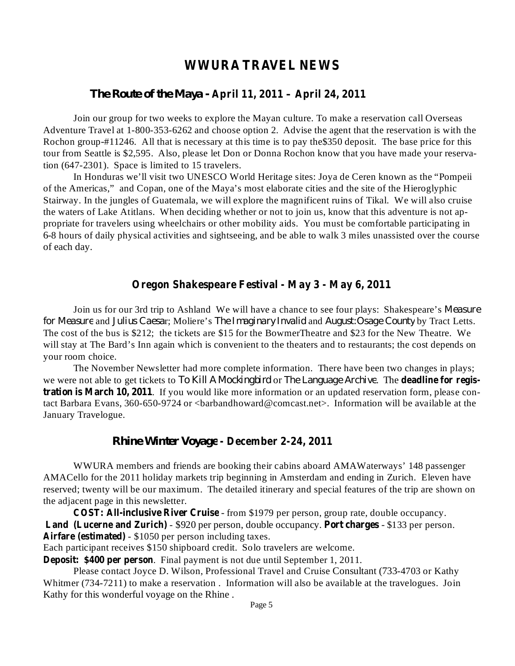## **WWURA TRAVEL NEWS**

## **April 11, 2011 – April 24, 2011** *The Route of the Maya -*

Join our group for two weeks to explore the Mayan culture. To make a reservation call Overseas Adventure Travel at 1-800-353-6262 and choose option 2. Advise the agent that the reservation is with the Rochon group-#11246. All that is necessary at this time is to pay the\$350 deposit. The base price for this tour from Seattle is \$2,595. Also, please let Don or Donna Rochon know that you have made your reservation (647-2301). Space is limited to 15 travelers.

In Honduras we'll visit two UNESCO World Heritage sites: Joya de Ceren known as the "Pompeii of the Americas," and Copan, one of the Maya's most elaborate cities and the site of the Hieroglyphic Stairway. In the jungles of Guatemala, we will explore the magnificent ruins of Tikal. We will also cruise the waters of Lake Atitlans. When deciding whether or not to join us, know that this adventure is not appropriate for travelers using wheelchairs or other mobility aids. You must be comfortable participating in 6-8 hours of daily physical activities and sightseeing, and be able to walk 3 miles unassisted over the course of each day.

#### **Oregon Shakespeare Festival - May 3 - May 6, 2011**

Join us for our 3rd trip to Ashland We will have a chance to see four plays: Shakespeare's *Measure* for *Measure* and Julius Caesar; Moliere's The Imaginary Invalid and August:Osage County by Tract Letts. The cost of the bus is \$212; the tickets are \$15 for the BowmerTheatre and \$23 for the New Theatre. We will stay at The Bard's Inn again which is convenient to the theaters and to restaurants; the cost depends on your room choice.

we were not able to get tickets to To Kill A Mockingbird or The Language Archive. The **deadline for registration is March 10, 2011** . If you would like more information or an updated reservation form, please con-The November Newsletter had more complete information. There have been two changes in plays; tact Barbara Evans, 360-650-9724 or <br/>barbandhoward@comcast.net>. Information will be available at the January Travelogue.

#### **- December 2-24, 2011** *Rhine Winter Voyage*

WWURA members and friends are booking their cabins aboard AMAWaterways' 148 passenger AMACello for the 2011 holiday markets trip beginning in Amsterdam and ending in Zurich. Eleven have reserved; twenty will be our maximum. The detailed itinerary and special features of the trip are shown on the adjacent page in this newsletter.

**COST: All-inclusive River Cruise** - from \$1979 per person, group rate, double occupancy. **Land** (Lucerne and Zurich) - \$920 per person, double occupancy. Port charges - \$133 per person. **Airfare (estimated)** - \$1050 per person including taxes.

Each participant receives \$150 shipboard credit. Solo travelers are welcome.

**Deposit: \$400 per person** . Final payment is not due until September 1, 2011.

Please contact Joyce D. Wilson, Professional Travel and Cruise Consultant (733-4703 or Kathy Whitmer (734-7211) to make a reservation . Information will also be available at the travelogues. Join Kathy for this wonderful voyage on the Rhine .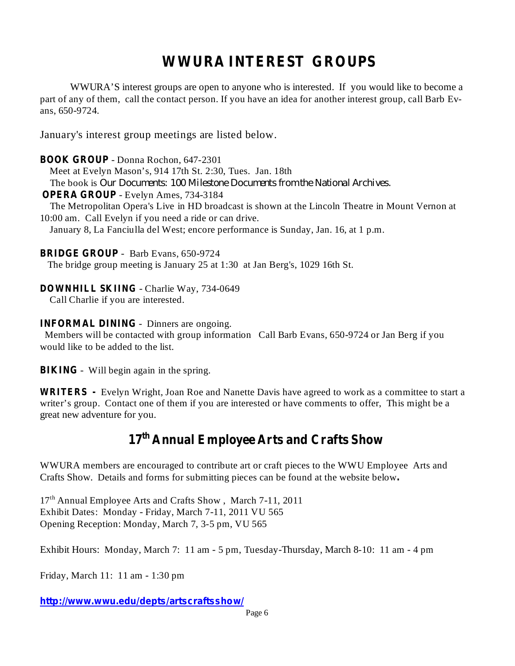## **WWURA INTEREST GROUPS**

WWURA'S interest groups are open to anyone who is interested. If you would like to become a part of any of them, call the contact person. If you have an idea for another interest group, call Barb Evans, 650-9724.

January's interest group meetings are listed below.

- Donna Rochon, 647-2301 **BOOK GROUP** Meet at Evelyn Mason's, 914 17th St. 2:30, Tues. Jan. 18th The book is *Our Documents: 100 Milestone Documents from the National Archives.* - Evelyn Ames, 734-3184 **OPERA GROUP** The Metropolitan Opera's Live in HD broadcast is shown at the Lincoln Theatre in Mount Vernon at 10:00 am. Call Evelyn if you need a ride or can drive. January 8, La Fanciulla del West; encore performance is Sunday, Jan. 16, at 1 p.m.

BRIDGE GROUP - Barb Evans, 650-9724

The bridge group meeting is January 25 at 1:30 at Jan Berg's, 1029 16th St.

#### **DOWNHILL SKIING** - Charlie Way, 734-0649

Call Charlie if you are interested.

#### **INFORMAL DINING** - Dinners are ongoing.

Members will be contacted with group information Call Barb Evans, 650-9724 or Jan Berg if you would like to be added to the list.

**BIKING** - Will begin again in the spring.

Evelyn Wright, Joan Roe and Nanette Davis have agreed to work as a committee to start a **WRITERS**  writer's group. Contact one of them if you are interested or have comments to offer, This might be a great new adventure for you.

## **17 th Annual Employee Arts and Crafts Show**

WWURA members are encouraged to contribute art or craft pieces to the WWU Employee Arts and Crafts Show. Details and forms for submitting pieces can be found at the website below **.**

17<sup>th</sup> Annual Employee Arts and Crafts Show, March 7-11, 2011 Exhibit Dates: Monday - Friday, March 7-11, 2011 VU 565 Opening Reception: Monday, March 7, 3-5 pm, VU 565

Exhibit Hours: Monday, March 7: 11 am - 5 pm, Tuesday-Thursday, March 8-10: 11 am - 4 pm

Friday, March 11: 11 am - 1:30 pm

*http://www.wwu.edu/depts/artscraftsshow/*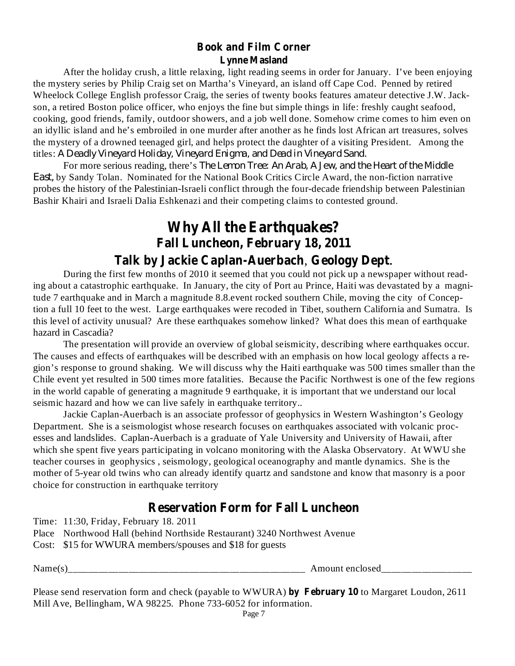#### **Book and Film Corner Lynne Masland**

After the holiday crush, a little relaxing, light reading seems in order for January. I've been enjoying the mystery series by Philip Craig set on Martha's Vineyard, an island off Cape Cod. Penned by retired Wheelock College English professor Craig, the series of twenty books features amateur detective J.W. Jackson, a retired Boston police officer, who enjoys the fine but simple things in life: freshly caught seafood, cooking, good friends, family, outdoor showers, and a job well done. Somehow crime comes to him even on an idyllic island and he's embroiled in one murder after another as he finds lost African art treasures, solves the mystery of a drowned teenaged girl, and helps protect the daughter of a visiting President. Among the titles: *A Deadly Vineyard Holiday, Vineyard Enigma, and Dead in Vineyard Sand.*

For more serious reading, there's *The Lemon Tree: An Arab, A Jew, and the Heart of the Middle* by Sandy Tolan. Nominated for the National Book Critics Circle Award, the non-fiction narrative *East,*probes the history of the Palestinian-Israeli conflict through the four-decade friendship between Palestinian Bashir Khairi and Israeli Dalia Eshkenazi and their competing claims to contested ground.

## **Why All the Earthquakes? Fall Luncheon, February 18, 2011**

## **Talk by Jackie Caplan-Auerbach Geology Dept** , .

During the first few months of 2010 it seemed that you could not pick up a newspaper without reading about a catastrophic earthquake. In January, the city of Port au Prince, Haiti was devastated by a magnitude 7 earthquake and in March a magnitude 8.8.event rocked southern Chile, moving the city of Conception a full 10 feet to the west. Large earthquakes were recoded in Tibet, southern California and Sumatra. Is this level of activity unusual? Are these earthquakes somehow linked? What does this mean of earthquake hazard in Cascadia?

The presentation will provide an overview of global seismicity, describing where earthquakes occur. The causes and effects of earthquakes will be described with an emphasis on how local geology affects a region's response to ground shaking. We will discuss why the Haiti earthquake was 500 times smaller than the Chile event yet resulted in 500 times more fatalities. Because the Pacific Northwest is one of the few regions in the world capable of generating a magnitude 9 earthquake, it is important that we understand our local seismic hazard and how we can live safely in earthquake territory..

Jackie Caplan-Auerbach is an associate professor of geophysics in Western Washington's Geology Department. She is a seismologist whose research focuses on earthquakes associated with volcanic processes and landslides. Caplan-Auerbach is a graduate of Yale University and University of Hawaii, after which she spent five years participating in volcano monitoring with the Alaska Observatory. At WWU she teacher courses in geophysics , seismology, geological oceanography and mantle dynamics. She is the mother of 5-year old twins who can already identify quartz and sandstone and know that masonry is a poor choice for construction in earthquake territory

## **Reservation Form for Fall Luncheon**

Time: 11:30, Friday, February 18. 2011

Place Northwood Hall (behind Northside Restaurant) 3240 Northwest Avenue

Cost: \$15 for WWURA members/spouses and \$18 for guests

| Name(  | Amount enclosed |
|--------|-----------------|
| ______ | _______         |

Please send reservation form and check (payable to WWURA) by February 10 to Margaret Loudon, 2611 Mill Ave, Bellingham, WA 98225. Phone 733-6052 for information.